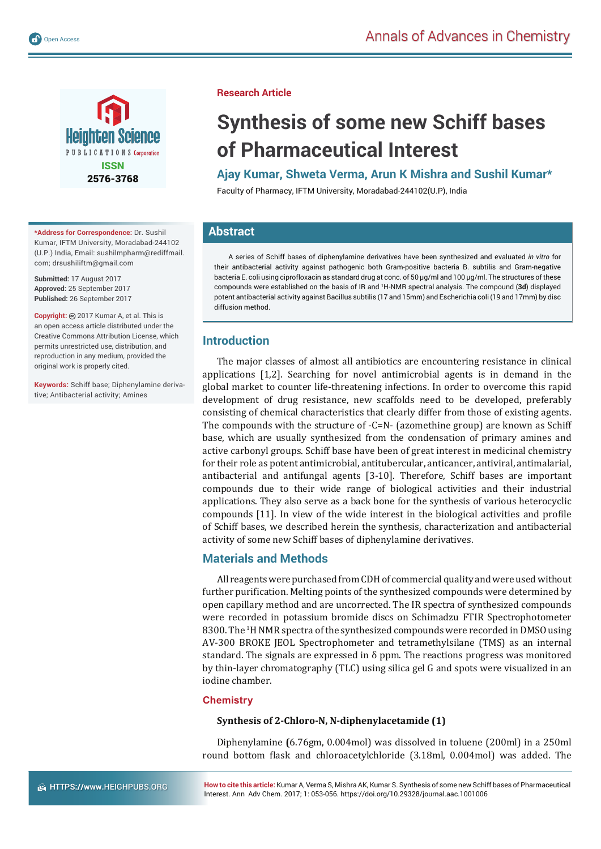

**\*Address for Correspondence:** Dr. Sushil Kumar, IFTM University, Moradabad-244102 (U.P.) India, Email: sushilmpharm@rediffmail. com; drsushiliftm@gmail.com

**Submitted:** 17 August 2017 **Approved:** 25 September 2017 **Published:** 26 September 2017

**Copyright:** @ 2017 Kumar A, et al. This is an open access article distributed under the Creative Commons Attribution License, which permits unrestricted use, distribution, and reproduction in any medium, provided the original work is properly cited.

**Keywords:** Schiff base; Diphenylamine derivative; Antibacterial activity; Amines

**Research Article**

# **Synthesis of some new Schiff bases of Pharmaceutical Interest**

**Ajay Kumar, Shweta Verma, Arun K Mishra and Sushil Kumar\*** 

Faculty of Pharmacy, IFTM University, Moradabad-244102(U.P), India

# **Abstract**

A series of Schiff bases of diphenylamine derivatives have been synthesized and evaluated *in vitro* for their antibacterial activity against pathogenic both Gram-positive bacteria B. subtilis and Gram-negative bacteria E. coli using ciprofloxacin as standard drug at conc. of 50 μg/ml and 100 μg/ml. The structures of these compounds were established on the basis of IR and 1 H-NMR spectral analysis. The compound (**3d**) displayed potent antibacterial activity against Bacillus subtilis (17 and 15mm) and Escherichia coli (19 and 17mm) by disc diffusion method.

# **Introduction**

The major classes of almost all antibiotics are encountering resistance in clinical applications [1,2]. Searching for novel antimicrobial agents is in demand in the global market to counter life-threatening infections. In order to overcome this rapid development of drug resistance, new scaffolds need to be developed, preferably consisting of chemical characteristics that clearly differ from those of existing agents. The compounds with the structure of -C=N- (azomethine group) are known as Schiff base, which are usually synthesized from the condensation of primary amines and active carbonyl groups. Schiff base have been of great interest in medicinal chemistry for their role as potent antimicrobial, antitubercular, anticancer, antiviral, antimalarial, antibacterial and antifungal agents [3-10]. Therefore, Schiff bases are important compounds due to their wide range of biological activities and their industrial applications. They also serve as a back bone for the synthesis of various heterocyclic compounds [11]. In view of the wide interest in the biological activities and profile of Schiff bases, we described herein the synthesis, characterization and antibacterial activity of some new Schiff bases of diphenylamine derivatives.

# **Materials and Methods**

All reagents were purchased from CDH of commercial quality and were used without further purification. Melting points of the synthesized compounds were determined by open capillary method and are uncorrected. The IR spectra of synthesized compounds were recorded in potassium bromide discs on Schimadzu FTIR Spectrophotometer 8300. The <sup>1</sup>H NMR spectra of the synthesized compounds were recorded in DMSO using AV-300 BROKE JEOL Spectrophometer and tetramethylsilane (TMS) as an internal standard. The signals are expressed in  $\delta$  ppm. The reactions progress was monitored by thin-layer chromatography (TLC) using silica gel G and spots were visualized in an iodine chamber.

# **Chemistry**

## **Synthesis of 2-Chloro-N, N-diphenylacetamide (1)**

Diphenylamine **(**6.76gm, 0.004mol) was dissolved in toluene (200ml) in a 250ml round bottom flask and chloroacetylchloride (3.18ml, 0.004mol) was added. The

**How to cite this article:** Kumar A, Verma S, Mishra AK, Kumar S. Synthesis of some new Schiff bases of Pharmaceutical Interest. Ann Adv Chem. 2017; 1: 053-056. https://doi.org/10.29328/journal.aac.1001006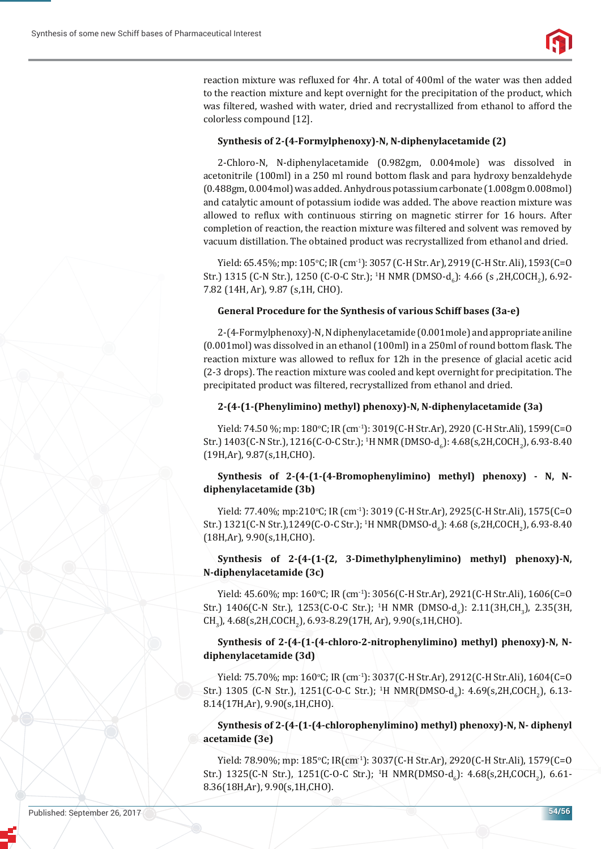

reaction mixture was refluxed for 4hr. A total of 400ml of the water was then added to the reaction mixture and kept overnight for the precipitation of the product, which was filtered, washed with water, dried and recrystallized from ethanol to afford the colorless compound [12].

## **Synthesis of 2-(4-Formylphenoxy)-N, N-diphenylacetamide (2)**

2-Chloro-N, N-diphenylacetamide (0.982gm, 0.004mole) was dissolved in acetonitrile (100ml) in a 250 ml round bottom flask and para hydroxy benzaldehyde (0.488gm, 0.004mol) was added. Anhydrous potassium carbonate (1.008gm 0.008mol) and catalytic amount of potassium iodide was added. The above reaction mixture was allowed to reflux with continuous stirring on magnetic stirrer for 16 hours. After completion of reaction, the reaction mixture was filtered and solvent was removed by vacuum distillation. The obtained product was recrystallized from ethanol and dried.

Yield: 65.45%; mp: 105°C; IR (cm<sup>-1</sup>): 3057 (C-H Str. Ar), 2919 (C-H Str. Ali), 1593 (C=O Str.) 1315 (C-N Str.), 1250 (C-O-C Str.); <sup>1</sup>H NMR (DMSO-d<sub>6</sub>): 4.66 (s ,2H,COCH<sub>2</sub>), 6.92-7.82 (14H, Ar), 9.87 (s,1H, CHO).

#### **General Procedure for the Synthesis of various Schiff bases (3a-e)**

2-(4-Formylphenoxy)-N, N diphenylacetamide (0.001mole) and appropriate aniline  $(0.001 \text{ mol})$  was dissolved in an ethanol  $(100 \text{ml})$  in a 250ml of round bottom flask. The reaction mixture was allowed to reflux for 12h in the presence of glacial acetic acid (2-3 drops). The reaction mixture was cooled and kept overnight for precipitation. The precipitated product was filtered, recrystallized from ethanol and dried.

#### **2-(4-(1-(Phenylimino) methyl) phenoxy)-N, N-diphenylacetamide (3a)**

Yield: 74.50 %; mp: 180°C; IR (cm<sup>-1</sup>): 3019(C-H Str.Ar), 2920 (C-H Str.Ali), 1599(C=O Str.) 1403(C-N Str.), 1216(C-O-C Str.); <sup>1</sup>H NMR (DMSO-d<sub>6</sub>): 4.68(s,2H,COCH<sub>2</sub>), 6.93-8.40 (19H,Ar), 9.87(s,1H,CHO).

## **Synthesis of 2-(4-(1-(4-Bromophenylimino) methyl) phenoxy) - N, Ndiphenylacetamide (3b)**

Yield: 77.40%; mp:210°C; IR (cm<sup>-1</sup>): 3019 (C-H Str.Ar), 2925(C-H Str.Ali), 1575(C=O Str.) 1321(C-N Str.),1249(C-O-C Str.); <sup>1</sup>H NMR(DMSO-d<sub>6</sub>): 4.68 (s,2H,COCH<sub>2</sub>), 6.93-8.40 (18H,Ar), 9.90(s,1H,CHO).

# **Synthesis of 2-(4-(1-(2, 3-Dimethylphenylimino) methyl) phenoxy)-N, N-diphenylacetamide (3c)**

Yield: 45.60%; mp: 160°C; IR (cm<sup>-1</sup>): 3056(C-H Str.Ar), 2921(C-H Str.Ali), 1606(C=O Str.) 1406(C-N Str.), 1253(C-O-C Str.); <sup>1</sup>H NMR (DMSO-d<sub>6</sub>): 2.11(3H,CH<sub>3</sub>), 2.35(3H, CH<sub>3</sub>), 4.68(s,2H,COCH<sub>2</sub>), 6.93-8.29(17H, Ar), 9.90(s,1H,CHO).

**Synthesis of 2-(4-(1-(4-chloro-2-nitrophenylimino) methyl) phenoxy)-N, Ndiphenylacetamide (3d)**

Yield: 75.70%; mp: 160°C; IR (cm<sup>-1</sup>): 3037(C-H Str.Ar), 2912(C-H Str.Ali), 1604(C=O Str.) 1305 (C-N Str.), 1251(C-O-C Str.); <sup>1</sup>H NMR(DMSO-d<sub>6</sub>): 4.69(s,2H,COCH<sub>2</sub>), 6.13-8.14(17H,Ar), 9.90(s,1H,CHO).

**Synthesis of 2-(4-(1-(4-chlorophenylimino) methyl) phenoxy)-N, N- diphenyl acetamide (3e)**

Yield: 78.90%; mp: 185°C; IR(cm<sup>-1</sup>): 3037(C-H Str.Ar), 2920(C-H Str.Ali), 1579(C=O Str.) 1325(C-N Str.), 1251(C-O-C Str.); <sup>1</sup>H NMR(DMSO-d<sub>6</sub>): 4.68(s,2H,COCH<sub>2</sub>), 6.61-8.36(18H,Ar), 9.90(s,1H,CHO).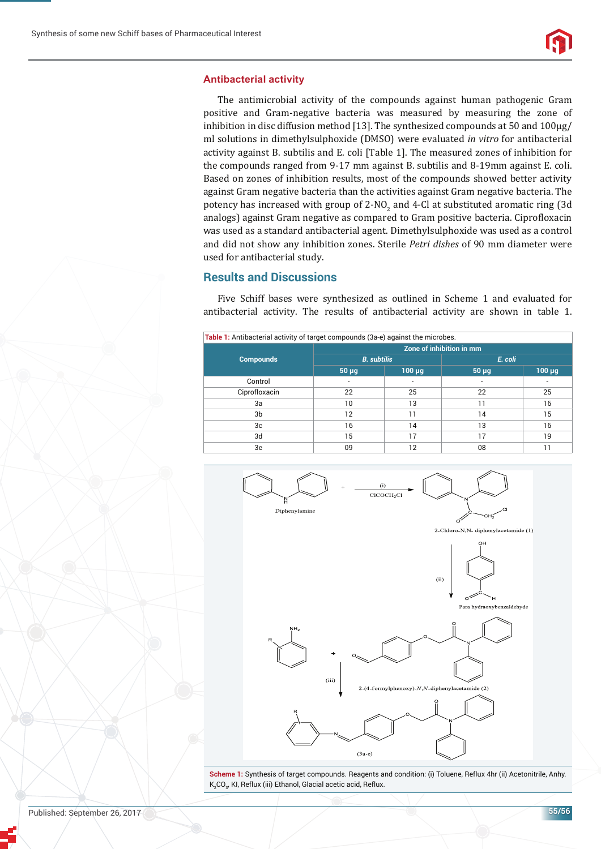#### **Antibacterial activity**

The antimicrobial activity of the compounds against human pathogenic Gram positive and Gram-negative bacteria was measured by measuring the zone of inhibition in disc diffusion method [13]. The synthesized compounds at 50 and 100μg/ ml solutions in dimethylsulphoxide (DMSO) were evaluated *in vitro* for antibacterial activity against B. subtilis and E. coli [Table 1]. The measured zones of inhibition for the compounds ranged from 9-17 mm against B. subtilis and 8-19mm against E. coli. Based on zones of inhibition results, most of the compounds showed better activity against Gram negative bacteria than the activities against Gram negative bacteria. The potency has increased with group of 2-NO<sub>2</sub> and 4-Cl at substituted aromatic ring (3d analogs) against Gram negative as compared to Gram positive bacteria. Ciprofloxacin was used as a standard antibacterial agent. Dimethylsulphoxide was used as a control and did not show any inhibition zones. Sterile *Petri dishes* of 90 mm diameter were used for antibacterial study.

## **Results and Discussions**

Five Schiff bases were synthesized as outlined in Scheme 1 and evaluated for antibacterial activity. The results of antibacterial activity are shown in table 1.

| Table 1: Antibacterial activity of target compounds (3a-e) against the microbes. |                          |             |         |             |
|----------------------------------------------------------------------------------|--------------------------|-------------|---------|-------------|
| <b>Compounds</b>                                                                 | Zone of inhibition in mm |             |         |             |
|                                                                                  | <b>B.</b> subtilis       |             | E. coli |             |
|                                                                                  | $50 \mu q$               | $100 \mu q$ | 50 µg   | $100 \mu g$ |
| Control                                                                          |                          |             |         |             |
| Ciprofloxacin                                                                    | 22                       | 25          | 22      | 25          |
| 3a                                                                               | 10                       | 13          | 11      | 16          |
| 3b                                                                               | $12 \overline{ }$        | 11          | 14      | 15          |
| 3c                                                                               | 16                       | 14          | 13      | 16          |
| 3d                                                                               | 15                       | 17          | 17      | 19          |
| 3e                                                                               | 09                       | 12          | 08      | 11          |



Scheme 1: Synthesis of target compounds. Reagents and condition: (i) Toluene, Reflux 4hr (ii) Acetonitrile, Anhy. K $_{\rm 2}$ CO $_{\rm 3}$ , KI, Reflux (iii) Ethanol, Glacial acetic acid, Reflux.